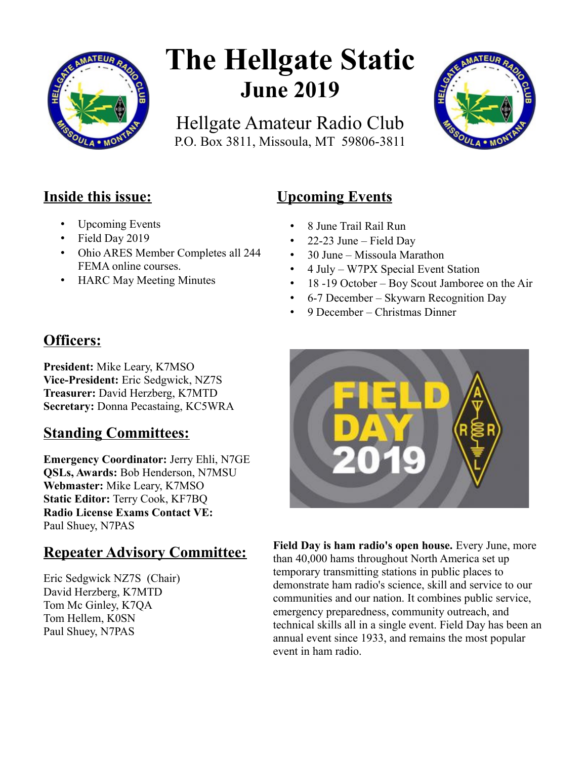

# **The Hellgate Static June 2019**

Hellgate Amateur Radio Club P.O. Box 3811, Missoula, MT 59806-3811



## **Inside this issue:**

- Upcoming Events
- Field Day 2019
- Ohio ARES Member Completes all 244 FEMA online courses.
- HARC May Meeting Minutes

# **Officers:**

**President:** Mike Leary, K7MSO **Vice-President:** Eric Sedgwick, NZ7S **Treasurer:** David Herzberg, K7MTD **Secretary:** Donna Pecastaing, KC5WRA

# **Standing Committees:**

**Emergency Coordinator:** Jerry Ehli, N7GE **QSLs, Awards:** Bob Henderson, N7MSU **Webmaster:** Mike Leary, K7MSO **Static Editor:** Terry Cook, KF7BQ **Radio License Exams Contact VE:** Paul Shuey, N7PAS

# **Repeater Advisory Committee:**

Eric Sedgwick NZ7S (Chair) David Herzberg, K7MTD Tom Mc Ginley, K7QA Tom Hellem, K0SN Paul Shuey, N7PAS

# **Upcoming Events**

- 8 June Trail Rail Run
- $22-23$  June Field Day
- 30 June Missoula Marathon
- 4 July W7PX Special Event Station
- 18 -19 October Boy Scout Jamboree on the Air
- 6-7 December Skywarn Recognition Day
- 9 December Christmas Dinner



**Field Day is ham radio's open house.** Every June, more than 40,000 hams throughout North America set up temporary transmitting stations in public places to demonstrate ham radio's science, skill and service to our communities and our nation. It combines public service, emergency preparedness, community outreach, and technical skills all in a single event. Field Day has been an annual event since 1933, and remains the most popular event in ham radio.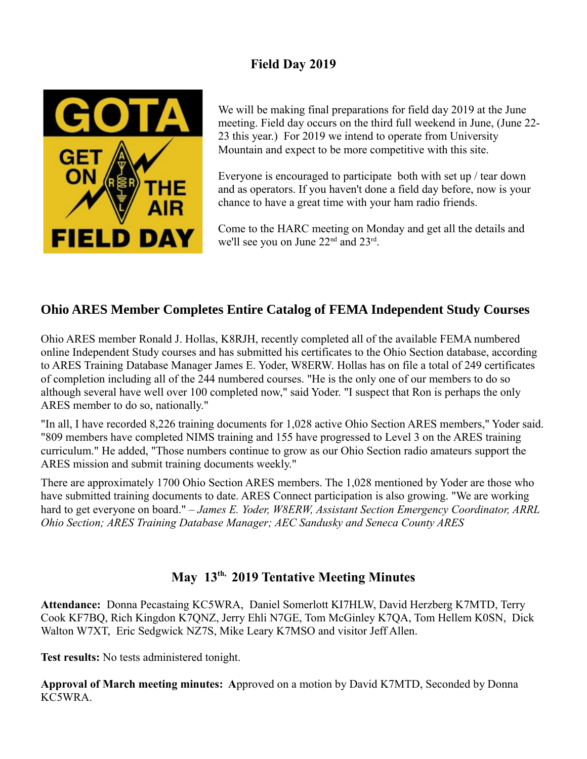## **Field Day 2019**



We will be making final preparations for field day 2019 at the June meeting. Field day occurs on the third full weekend in June, (June 22- 23 this year.) For 2019 we intend to operate from University Mountain and expect to be more competitive with this site.

Everyone is encouraged to participate both with set up / tear down and as operators. If you haven't done a field day before, now is your chance to have a great time with your ham radio friends.

Come to the HARC meeting on Monday and get all the details and we'll see you on June 22<sup>nd</sup> and 23<sup>rd</sup>.

### **Ohio ARES Member Completes Entire Catalog of FEMA Independent Study Courses**

Ohio ARES member Ronald J. Hollas, K8RJH, recently completed all of the available FEMA numbered online Independent Study courses and has submitted his certificates to the Ohio Section database, according to ARES Training Database Manager James E. Yoder, W8ERW. Hollas has on file a total of 249 certificates of completion including all of the 244 numbered courses. "He is the only one of our members to do so although several have well over 100 completed now," said Yoder. "I suspect that Ron is perhaps the only ARES member to do so, nationally."

"In all, I have recorded 8,226 training documents for 1,028 active Ohio Section ARES members," Yoder said. "809 members have completed NIMS training and 155 have progressed to Level 3 on the ARES training curriculum." He added, "Those numbers continue to grow as our Ohio Section radio amateurs support the ARES mission and submit training documents weekly."

There are approximately 1700 Ohio Section ARES members. The 1,028 mentioned by Yoder are those who have submitted training documents to date. ARES Connect participation is also growing. "We are working hard to get everyone on board." – *James E. Yoder, W8ERW, Assistant Section Emergency Coordinator, ARRL Ohio Section; ARES Training Database Manager; AEC Sandusky and Seneca County ARES*

## **May 13th, 2019 Tentative Meeting Minutes**

**Attendance:** Donna Pecastaing KC5WRA, Daniel Somerlott KI7HLW, David Herzberg K7MTD, Terry Cook KF7BQ, Rich Kingdon K7QNZ, Jerry Ehli N7GE, Tom McGinley K7QA, Tom Hellem K0SN, Dick Walton W7XT, Eric Sedgwick NZ7S, Mike Leary K7MSO and visitor Jeff Allen.

**Test results:** No tests administered tonight.

**Approval of March meeting minutes: A**pproved on a motion by David K7MTD, Seconded by Donna KC5WRA.